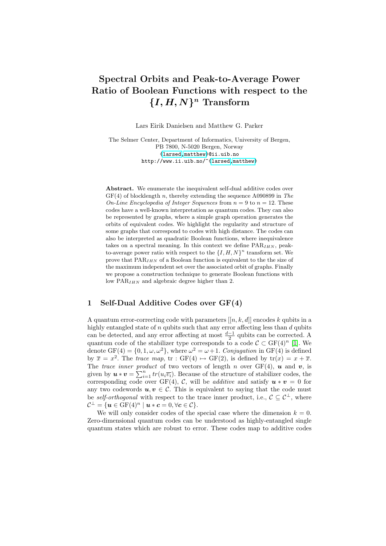# Spectral Orbits and Peak-to-Average Power Ratio of Boolean Functions with respect to the  ${I, H, N}^n$  Transform

Lars [Eirik D](http://www.ii.uib.no/~larsed)[anielsen](http://www.ii.uib.no/~matthew) and Matthew G. Parker

The Selmer Center, Department of Informatics, University of Bergen, PB 7800, N-5020 Bergen, Norway {larsed,matthew}@ii.uib.no http://www.ii.uib.no/~{larsed,matthew}

Abstract. We enumerate the inequivalent self-dual additive codes over  $GF(4)$  of blocklength n, thereby extending the sequence A090899 in The On-Line Encyclopedia of Integer Sequences from  $n = 9$  to  $n = 12$ . These codes have a well-known interpretation as quantum codes. They can also be represented by graphs, where a simple graph operation generates the orbits of equivalent codes. We highlight the regularity and structure of some graphs that correspond to codes with high distance. The codes can also be interpreted as quadratic Boolean functions, where inequivalence takes on a spectral meaning. In this context we define  $PAR_{IHN}$ , peakto-average power ratio with respect to the  $\{I, H, N\}^n$  transform set. We prove that  $PAR_{IHN}$  of a Boolean function is equivalent to the the size of the maximum independent set over the associated orbit of graphs. Finally we propose a construction technique to generate Boolean functions with low  $PAR_{IHN}$  and algebraic degree higher than 2.

### 1 Self-Dual Additive Codes over GF[\(4](#page-14-0))

A quantum error-correcting code with parameters  $[[n, k, d]]$  encodes k qubits in a highly entangled state of  $n$  qubits such that any error affecting less than  $d$  qubits can be detected, and any error affecting at most  $\frac{d-1}{2}$  qubits can be corrected. A quantum code of the stabilizer type corresponds to a code  $\mathcal{C} \subset \mathrm{GF}(4)^n$  [1]. We denote  $GF(4) = \{0, 1, \omega, \omega^2\}$ , where  $\omega^2 = \omega + 1$ . Conjugation in  $GF(4)$  is defined by  $\bar{x} = x^2$ . The trace map, tr : GF(4)  $\mapsto$  GF(2), is defined by tr(x) =  $x + \bar{x}$ . The trace inner product of two vectors of length n over  $GF(4)$ ,  $u$  and v, is given by  $u * v = \sum_{i=1}^{n} tr(u_i \overline{v_i})$ . Because of the structure of stabilizer codes, the corresponding code over GF(4), C, will be *additive* and satisfy  $u * v = 0$  for any two codewords  $u, v \in \mathcal{C}$ . This is equivalent to saying that the code must be self-orthogonal with respect to the trace inner product, i.e.,  $C \subseteq C^{\perp}$ , where  $\mathcal{C}^\perp = \{\bm{u}\in\mathrm{GF}(4)^n\mid \bm{u}\ast\bm{c}=0, \forall \bm{c}\in\mathcal{C}\}.$ 

We will only consider codes of the special case where the dimension  $k = 0$ . Zero-dimensional quantum codes can be understood as highly-entangled single quantum states which are robust to error. These codes map to additive codes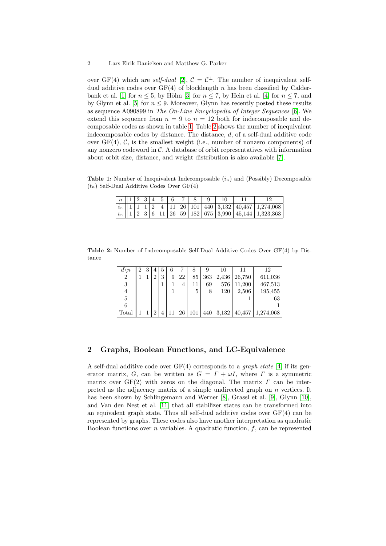over GF(4) which are *self-dual* [2],  $C = C^{\perp}$ . The number of inequivalent selfdual additive [co](#page-1-0)des ov[er](#page-1-1)  $GF(4)$  of blocklength n has been classified by Calderbank et al. [1] for  $n \leq 5$ , by Höhn [3] for  $n \leq 7$ , by Hein et al. [4] for  $n \leq 7$ , and by Glynn et al. [5] for  $n \leq 9$ . Moreover, Glynn has recently posted these results as sequence A090899 in The On-Line Encyclopedia of Integer Sequences [6]. We extend this sequence from  $n = 9$  to  $n = 12$  [bo](#page-15-0)th for indecomposable and decomposable codes as shown in table 1. Table 2 shows the number of inequivalent indecomposable codes by distance. The distance,  $d$ , of a self-dual additive code over  $GF(4)$ ,  $C$ , is the smallest weight (i.e., number of nonzero components) of any nonzero codeword in  $\mathcal{C}$ . A database of orbit representatives with information about orbit size, distance, and weight distribution is also available [7].

<span id="page-1-1"></span><span id="page-1-0"></span>**Table 1:** Number of Inequivalent Indecomposable  $(i_n)$  and (Possibly) Decomposable  $(t_n)$  Self-Dual Additive Codes Over GF(4)

|  |  |  |  | $\mid n \parallel 1 \mid 2 \mid 3 \mid 4 \mid 5 \mid 6 \mid 7 \mid 8 \mid 9 \mid 10$ |  |  |
|--|--|--|--|--------------------------------------------------------------------------------------|--|--|
|  |  |  |  |                                                                                      |  |  |
|  |  |  |  |                                                                                      |  |  |

Table 2: Number of Indecomposable Self-Dual Additive Codes Over GF(4) by Distance

| $\boldsymbol{n}$ | റ |  |   | 6 |    |     | 9   | 10    |        | 12        |
|------------------|---|--|---|---|----|-----|-----|-------|--------|-----------|
| 2                |   |  | 3 | 9 | 22 | 85  | 363 | 2,436 | 26,750 | 611,036   |
| 3                |   |  |   |   | 4  | 11  | 69  | 576   | 11,200 | 467,513   |
| 4                |   |  |   |   |    | 5   | 8   | 120   | 2,506  | 195,455   |
| 5                |   |  |   |   |    |     |     |       |        | 63        |
| 6                |   |  |   |   |    |     |     |       |        |           |
| Total            |   |  |   |   | 26 | 101 | 440 | 3,132 | 40,457 | 1,274,068 |

# 2 Graphs, Boolea[n](#page-15-1) Functions, [an](#page-15-2)d LC-[Eq](#page-15-3)uivalence

A se[lf-d](#page-15-4)ual additive code over  $GF(4)$  corresponds to a *graph state* [4] if its generator matrix, G, can be written as  $G = \Gamma + \omega I$ , where  $\Gamma$  is a symmetric matrix over  $GF(2)$  with zeros on the diagonal. The matrix  $\Gamma$  can be interpreted as the adjacency matrix of a simple undirected graph on  $n$  vertices. It has been shown by Schlingemann and Werner [8], Grassl et al. [9], Glynn [10], and Van den Nest et al. [11] that all stabilizer states can be transformed into an equivalent graph state. Thus all self-dual additive codes over GF(4) can be represented by graphs. These codes also have another interpretation as quadratic Boolean functions over  $n$  variables. A quadratic function,  $f$ , can be represented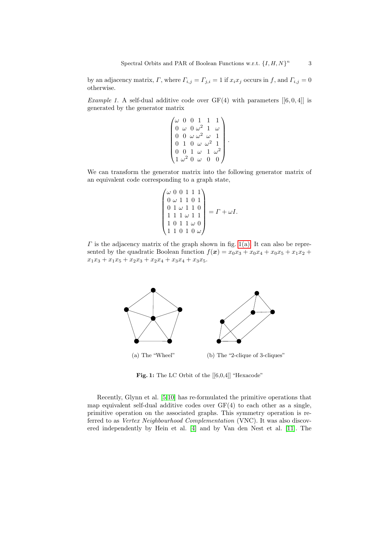by an adjacency matrix,  $\Gamma$ , where  $\Gamma_{i,j} = \Gamma_{j,i} = 1$  if  $x_i x_j$  occurs in f, and  $\Gamma_{i,j} = 0$ otherwise.

*Example 1.* A self-dual additive code over  $GF(4)$  with parameters  $[[6, 0, 4]]$  is generated by the generator matrix

$$
\begin{pmatrix}\n\omega & 0 & 0 & 1 & 1 & 1 \\
0 & \omega & 0 & \omega^2 & 1 & \omega \\
0 & 0 & \omega & \omega^2 & \omega & 1 \\
0 & 1 & 0 & \omega & \omega^2 & 1 \\
0 & 0 & 1 & \omega & 1 & \omega^2 \\
1 & \omega^2 & 0 & \omega & 0 & 0\n\end{pmatrix}
$$

.

We can transform the generator matrix into the following generator matrix of an equivalent code corresponding to a graph state,

$$
\begin{pmatrix}\n\omega & 0 & 0 & 1 & 1 & 1 \\
0 & \omega & 1 & 1 & 0 & 1 \\
0 & 1 & \omega & 1 & 1 & 0 \\
1 & 1 & 1 & \omega & 1 & 1 \\
1 & 0 & 1 & 1 & \omega & 0 \\
1 & 1 & 0 & 1 & 0 & \omega\n\end{pmatrix} = \Gamma + \omega I.
$$

<span id="page-2-0"></span> $\Gamma$  is the adjacency matrix of the graph shown in fig. 1(a). It can also be represented by the quadratic Boolean function  $f(x) = x_0x_3 + x_0x_4 + x_0x_5 + x_1x_2 +$  $x_1x_3 + x_1x_5 + x_2x_3 + x_2x_4 + x_3x_4 + x_3x_5.$ 



<span id="page-2-1"></span>Fig. 1: The LC Orbit of the [[6,0,4]] "Hexacode"

Recently, Glynn et al. [5,10] has re-formulated the primitive operations that map equivalent self-dual additive codes over  $GF(4)$  to each other as a single, primitive operation on the associated graphs. This symmetry operation is referred to as Vertex Neighbourhood Complementation (VNC). It was also discovered independently by Hein et al. [4] and by Van den Nest et al. [11]. The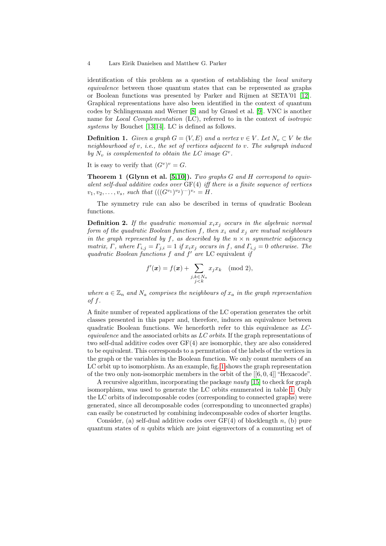identification of this problem as a question of establishing the local unitary [equ](#page-15-5)[iva](#page-15-6)lence between those quantum states that can be represented as graphs or Boolean functions was presented by Parker and Rijmen at SETA'01 [12]. Graphical representations have also been identified in the context of quantum codes by Schlingemann and Werner [8] and by Grassl et al. [9]. VNC is another name for Local Complementation (LC), referred to in the context of isotropic systems by Bouchet [13,14]. LC is defined as follows.

**Definit[io](#page-15-7)[n 1.](#page-15-3)** Given a graph  $G = (V, E)$  and a vertex  $v \in V$ . Let  $N_v \subset V$  be the neighbourhood of  $v$ , i.e., the set of vertices adjacent to  $v$ . The subgraph induced by  $N_v$  is complemented to obtain the LC image  $G^v$ .

It is easy to verify that  $(G^v)^v = G$ .

**Theorem 1 (Glynn et al. [5,10]).** Two graphs  $G$  and  $H$  correspond to equivalent self-dual additive codes over  $GF(4)$  iff there is a finite sequence of vertices  $v_1, v_2, \ldots, v_s$ , such that  $(((G^{v_1})^{v_2})^{v_1})^{v_s} = H$ .

The symmetry rule can also be described in terms of quadratic Boolean functions.

**Definition 2.** If the quadratic monomial  $x_i x_j$  occurs in the algebraic normal form of the quadratic Boolean function f, then  $x_i$  and  $x_j$  are mutual neighbours in the graph represented by f, as described by the  $n \times n$  symmetric adjacency matrix, Γ, where  $\Gamma_{i,j} = \Gamma_{j,i} = 1$  if  $x_i x_j$  occurs in f, and  $\Gamma_{i,j} = 0$  otherwise. The quadratic Boolean functions  $f$  and  $f'$  are LC equivalent if

$$
f'(\boldsymbol{x}) = f(\boldsymbol{x}) + \sum_{\substack{j,k \in N_a \\ j < k}} x_j x_k \pmod{2},
$$

where  $a \in \mathbb{Z}_n$  and  $N_a$  comprises the neighbours of  $x_a$  in the graph representation of  $f$ .

A finite number of repeated applications of the LC operation generates the orbit classes presented in this paper and, therefore, induces an equivalence between quadratic Boolean functi[on](#page-2-1)s. We henceforth refer to this equivalence as LCequivalence and the associated orbits as  $LC$  orbits. If the graph representations of two self-dual additive codes over GF([4\) a](#page-15-8)re isomorphic, they are also considered to be equivalent. This corresponds to a permutatio[n o](#page-1-0)f the labels of the vertices in the graph or the variables in the Boolean function. We only count members of an LC orbit up to isomorphism. As an example, fig. 1 shows the graph representation of the two only non-isomorphic members in the orbit of the  $[[6, 0, 4]]$  "Hexacode".

A recursive algorithm, incorporating the package nauty [15] to check for graph isomorphism, was used to generate the LC orbits enumerated in table 1. Only the LC orbits of indecomposable codes (corresponding to connected graphs) were generated, since all decomposable codes (corresponding to unconnected graphs) can easily be constructed by combining indecomposable codes of shorter lengths.

Consider, (a) self-dual additive codes over  $GF(4)$  of blocklength n, (b) pure quantum states of  $n$  qubits which are joint eigenvectors of a commuting set of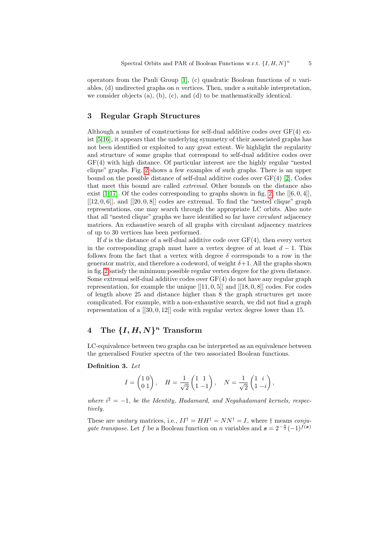operators from the Pauli Group  $[1]$ , (c) quadratic Boolean functions of n variables,  $(d)$  undirected graphs on *n* vertices. Then, under a suitable interpretation, we consider objects (a), (b), (c), and (d) to be mathematically identical.

#### 3 Regular Graph Structures

[A](#page-5-0)lthough a number of constructions for self-dual additive codes over GF(4) exist [5,16], it appears that the underlying symmetr[y o](#page-15-9)f their associated graphs has not been identified or exploited to any great extent. We highlight the regularity and structure of some graphs that corres[pon](#page-5-0)d to self-dual additive codes over GF(4) with high distance. Of particular interest are the highly regular "nested clique" graphs. Fig. 2 shows a few examples of such graphs. There is an upper bound on the possible distance of self-dual additive codes over  $GF(4)$  [2]. Codes that meet this bound are called extremal. Other bounds on the distance also exist [1,17]. Of the codes corresponding to graphs shown in fig. 2, the  $[[6, 0, 4]]$ ,  $[[12, 0, 6]],$  and  $[[20, 0, 8]]$  codes are extremal. To find the "nested clique" graph representations, one may search through the appropriate LC orbits. Also note that all "nested clique" graphs we have identified so far have circulant adjacency matrices. An exhaustive search of all graphs with circulant adjacency matrices of up to 30 vertices has been performed.

If d is the distance of a self-dual additive code over  $GF(4)$ , then every vertex in the corresponding graph must have a vertex degree of at least  $d-1$ . This follows from the fact that a vertex with degree  $\delta$  corresponds to a row in the generator matrix, and therefore a codeword, of weight  $\delta+1$ . All the graphs shown in fig. 2 satisfy the minimum possible regular vertex degree for the given distance. Some extremal self-dual additive codes over GF(4) do not have any regular graph representation, for example the unique  $[[11, 0, 5]]$  and  $[[18, 0, 8]]$  codes. For codes of length above 25 and distance higher than 8 the graph structures get more complicated. For example, with a non-exhaustive search, we did not find a graph representation of a [[30, 0, 12]] code with regular vertex degree lower than 15.

# 4 The  $\{I, H, N\}^n$  Transform

LC-equivalence between two graphs can be interpreted as an equivalence between the generalised Fourier spectra of the two associated Boolean functions.

#### Definition 3. Let

$$
I=\begin{pmatrix} 1 \ 0 \\ 0 \ 1 \end{pmatrix}, \quad H=\frac{1}{\sqrt{2}}\begin{pmatrix} 1 \ 1 \\ 1 \ -1 \end{pmatrix}, \quad N=\frac{1}{\sqrt{2}}\begin{pmatrix} 1 \ i \\ 1 \ -i \end{pmatrix},
$$

where  $i^2 = -1$ , be the Identity, Hadamard, and Negahadamard kernels, respectively.

These are *unitary* matrices, i.e.,  $II^{\dagger} = HH^{\dagger} = NN^{\dagger} = I$ , where  $\dagger$  means *conju*gate transpose. Let f be a Boolean function on n variables and  $s = 2^{-\frac{n}{2}}(-1)^{f(x)}$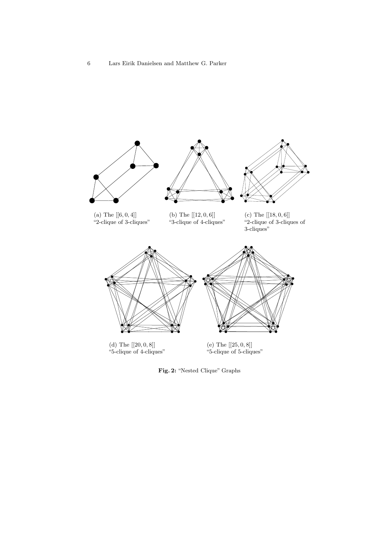





(a) The  $[[6, 0, 4]]$ "2-clique of 3-cliques"

(b) The [[12, 0, 6]] "3-clique of 4-cliques"

(c) The  $[[18, 0, 6]]$ "2-clique of 3-cliques of 3-cliques"



(d) The  $\left[\left[20,0,8\right]\right]$ "5-clique of 4-cliques" (e) The  $\left[ [ 25, 0, 8 ] \right]$ "5-clique of 5-cliques"

<span id="page-5-0"></span>Fig. 2: "Nested Clique" Graphs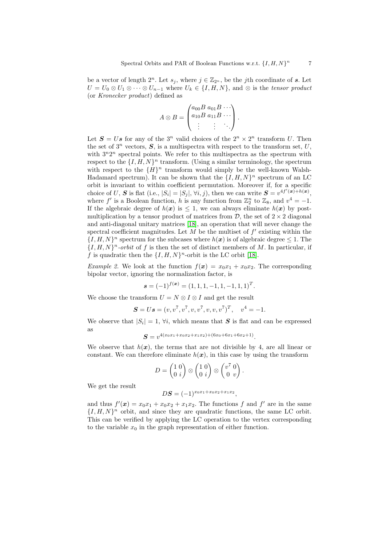be a vector of length  $2^n$ . Let  $s_j$ , where  $j \in \mathbb{Z}_{2^n}$ , be the jth coordinate of s. Let  $U = U_0 \otimes U_1 \otimes \cdots \otimes U_{n-1}$  where  $U_k \in \{I, H, N\}$ , and  $\otimes$  is the tensor product (or Kronecker product) defined as

$$
A \otimes B = \begin{pmatrix} a_{00}B & a_{01}B & \cdots \\ a_{10}B & a_{11}B & \cdots \\ \vdots & \vdots & \ddots \end{pmatrix}.
$$

Let  $S = Us$  for any of the  $3^n$  valid choices of the  $2^n \times 2^n$  transform U. Then the set of  $3^n$  vectors,  $S$ , is a multispectra with respect to the transform set, U, with  $3^n2^n$  spectral points. We refer to this multispectra as the spectrum with respect to the  $\{I, H, N\}^n$  transform. (Using a similar terminology, the spectrum with respect to the  ${H}^n$  transform would simply be the well-known Walsh-Hadamard spectrum). It can be shown that the  $\{I, H, N\}^n$  spectrum of an LC orbit is invari[ant](#page-15-10) to within coefficient permutation. Moreover if, for a specific choice of U, S is flat (i.e.,  $|S_i| = |S_j|, \forall i, j$ ), then we can write  $S = v^{4f'(\mathbf{x}) + h(\mathbf{x})}$ , where f' is a Boolean function, h is any function from  $\mathbb{Z}_2^n$  to  $\mathbb{Z}_8$ , and  $v^4 = -1$ . If the algebraic degree of  $h(x)$  is  $\leq 1$ , we can always eliminate  $h(x)$  by postmultiplication by a tensor product [of m](#page-15-10)atrices from  $\mathcal{D}$ , the set of  $2 \times 2$  diagonal and anti-diagonal unitary matrices [18], an operation that will never change the spectral coefficient magnitudes. Let  $M$  be the multiset of  $f'$  existing within the  $\{I, H, N\}^n$  spectrum for the subcases where  $h(x)$  is of algebraic degree  $\leq 1$ . The  $\{I, H, N\}^n$ -orbit of f is then the set of distinct members of M. In particular, if f is quadratic then the  $\{I, H, N\}$ <sup>n</sup>-orbit is the LC orbit [18].

*Example 2.* We look at the function  $f(x) = x_0x_1 + x_0x_2$ . The corresponding bipolar vector, ignoring the normalization factor, is

$$
\mathbf{s} = (-1)^{f(\mathbf{x})} = (1, 1, 1, -1, 1, -1, 1, 1)^T.
$$

We choose the transform  $U = N \otimes I \otimes I$  and get the result

$$
S = Us = (v, v^7, v^7, v, v^7, v, v, v^7)^T, v^4 = -1.
$$

We observe that  $|S_i| = 1$ ,  $\forall i$ , which means that S is flat and can be expressed as

$$
S = v^{4(x_0x_1+x_0x_2+x_1x_2)+(6x_0+6x_1+6x_2+1)}.
$$

We observe that  $h(x)$ , the terms that are not divisible by 4, are all linear or constant. We can therefore eliminate  $h(x)$ , in this case by using the transform

$$
D = \begin{pmatrix} 1 & 0 \\ 0 & i \end{pmatrix} \otimes \begin{pmatrix} 1 & 0 \\ 0 & i \end{pmatrix} \otimes \begin{pmatrix} v^7 & 0 \\ 0 & v \end{pmatrix}.
$$

We get the result

$$
D\mathbf{S} = (-1)^{x_0 x_1 + x_0 x_2 + x_1 x_2},
$$

and thus  $f'(\mathbf{x}) = x_0 x_1 + x_0 x_2 + x_1 x_2$ . The functions f and f' are in the same  $\{I, H, N\}^n$  orbit, and since they are quadratic functions, the same LC orbit. This can be verified by applying the LC operation to the vertex corresponding to the variable  $x_0$  in the graph representation of either function.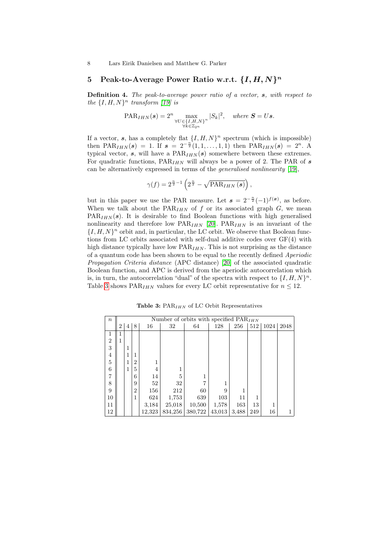# 5 Peak-to-Average Power Ratio w.r.t.  $\{I, H, N\}^n$

Definition 4. The peak-to-average power ratio of a vector,  $s$ , with respect to the  $\{I, H, N\}^n$  transform [19] is

$$
\mathrm{PAR}_{IHN}(s) = 2^n \max_{\substack{\forall U \in \{I, H, N\}^n \\ \forall k \in \mathbb{Z}_{2^n}}} |S_k|^2, \quad \text{where } S = Us.
$$

If a vector, s, has a completely flat  $\{I, H, N\}^n$  spectrum (which is impossible) then PAR<sub>IHN</sub>(s) = 1. If  $s = 2^{-\frac{n}{2}}(1,1,\ldots,1,1)$  then PAR<sub>IHN</sub>(s) = 2<sup>n</sup>. A typical vector, s, will have a  $PAR_{IHN}(s)$  somewhere between these extremes. For quadratic functions,  $PAR_{IHN}$  will always be a power of 2. The PAR of s can be alternatively expressed in terms of the generalised nonlinearity [19],

$$
\gamma(f) = 2^{\frac{n}{2}-1} \left( 2^{\frac{n}{2}} - \sqrt{\text{PAR}_{IHN}(s)} \right),
$$

but in this paper we use the PAR measure. Let  $s = 2^{-\frac{n}{2}}(-1)^{f(x)}$ , as before. When we talk about the  $PAR_{IHN}$  of f or its associated graph  $G$ , we mean  $PAR_{IHN}(s)$ . It is desirable to find Boolean functions with high generalised nonlinearity and therefore [low](#page-15-12)  $PAR_{IHN}$  [20].  $PAR_{IHN}$  is an invariant of the  $\{I, H, N\}^n$  orbit and, in particular, the LC orbit. We observe that Boolean functions from LC orbits associated with self-dual additive codes over GF(4) with high distance typically have low  $PAR_{IHN}$ . This is not surprising as the distance of a quantum code has been shown to be equal to the recently defined Aperiodic Propagation Criteria distance (APC distance) [20] of the associated quadratic Boolean function, and APC is derived from the aperiodic autocorrelation which is, in turn, the autocorrelation "dual" of the spectra with respect to  $\{I, H, N\}^n$ . Table 3 shows PAR<sub>IHN</sub> values for every LC orbit representative for  $n \leq 12$ .

Table 3:  $PAR<sub>IHN</sub>$  of LC Orbit Representatives

| $\boldsymbol{n}$ |   |   |                |        | Number of orbits with specified $\text{PAR}_{IHN}$ |         |        |       |                   |      |      |
|------------------|---|---|----------------|--------|----------------------------------------------------|---------|--------|-------|-------------------|------|------|
|                  | 2 | 4 | 8              | 16     | 32                                                 | 64      | 128    | 256   | $\vert 512 \vert$ | 1024 | 2048 |
| 1                | 1 |   |                |        |                                                    |         |        |       |                   |      |      |
| $\sqrt{2}$       | 1 |   |                |        |                                                    |         |        |       |                   |      |      |
| 3                |   | 1 |                |        |                                                    |         |        |       |                   |      |      |
| $\overline{4}$   |   |   | 1              |        |                                                    |         |        |       |                   |      |      |
| $\overline{5}$   |   | 1 | $\overline{2}$ | 1      |                                                    |         |        |       |                   |      |      |
| 6                |   | 1 | 5              | 4      |                                                    |         |        |       |                   |      |      |
| $\overline{7}$   |   |   | 6              | 14     | 5                                                  | 1       |        |       |                   |      |      |
| 8                |   |   | 9              | 52     | 32                                                 | 7       |        |       |                   |      |      |
| 9                |   |   | $\overline{2}$ | 156    | 212                                                | 60      | 9      |       |                   |      |      |
| 10               |   |   | 1              | 624    | 1,753                                              | 639     | 103    | 11    | 1                 |      |      |
| 11               |   |   |                | 3,184  | 25,018                                             | 10,500  | 1,578  | 163   | 13                | 1    |      |
| 12               |   |   |                | 12,323 | 834,256                                            | 380,722 | 43,013 | 3,488 | 249               | 16   |      |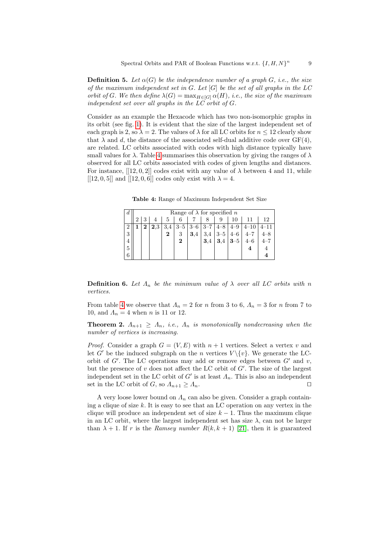**Definition 5.** Let  $\alpha(G)$  be the independence number of a graph G, i.e., the size of the maximum independent set in  $G$ . Let  $[G]$  be the set of all graphs in the LC orbit of G. We then define  $\lambda(G) = \max_{H \in [G]} \alpha(H)$ , i.e., the size of the maximum independent set over all graphs in the LC orbit of G.

<span id="page-8-0"></span>Co[ns](#page-8-0)ider as an example the Hexacode which has two non-isomorphic graphs in its orbit (see fig. 1). It is evident that the size of the largest independent set of each graph is 2, so  $\lambda = 2$ . The values of  $\lambda$  for all LC orbits for  $n \leq 12$  clearly show that  $\lambda$  and d, the distance of the associated self-dual additive code over  $GF(4)$ , are related. LC orbits associated with codes with high distance typically have small values for  $\lambda$ . Table 4 summarises this observation by giving the ranges of  $\lambda$ observed for all LC orbits associated with codes of given lengths and distances. For instance,  $[[12, 0, 2]]$  codes exist with any value of  $\lambda$  between 4 and 11, while  $[[12, 0, 5]]$  and  $[[12, 0, 6]]$  codes only exist with  $\lambda = 4$ .

Table 4: Range of Maximum Independent Set Size

| d | Range of $\lambda$ for specified n |         |     |          |         |         |         |         |          |         |
|---|------------------------------------|---------|-----|----------|---------|---------|---------|---------|----------|---------|
|   |                                    |         | b.  |          |         |         |         |         |          | 12      |
|   |                                    | $2.3\,$ | 3,4 | $3 - 5$  | $3 - 6$ | $3 - 7$ | $4 - 8$ | $4 - 9$ | $4 - 10$ |         |
| 3 |                                    |         | 2   | 3        | 3.4     | 3,4     | $3 - 5$ | $4 - 6$ |          |         |
|   |                                    |         |     | $\bf{2}$ |         | 3,4     | 3,4     | $3 - 5$ |          | $4 - i$ |
| 5 |                                    |         |     |          |         |         |         |         |          |         |
| 6 |                                    |         |     |          |         |         |         |         |          |         |

**Definition 6.** Let  $\Lambda_n$  be the minimum value of  $\lambda$  over all LC orbits with n vertices.

From table 4 we observe that  $\Lambda_n = 2$  for n from 3 to 6,  $\Lambda_n = 3$  for n from 7 to 10, and  $\Lambda_n = 4$  when *n* is 11 or 12.

**Theorem 2.**  $\Lambda_{n+1} \geq \Lambda_n$ , *i.e.*,  $\Lambda_n$  *is monotonically nondecreasing when the* number of vertices is increasing.

*Proof.* Consider a graph  $G = (V, E)$  with  $n + 1$  vertices. Select a vertex v and let  $G'$  be the induced subgraph on the n vertices  $V \setminus \{v\}$ . We generate the LCorbit of  $G'$ . The LC operations may add or remove edges between  $G'$  and  $v$ , but the presence of  $v$  does not affect the LC orbit of  $G'$ . The size of the largest independent set in the LC orbit of  $G'$  is at least  $\Lambda_n$ . This is also an independent set in the LC orbit of G, so  $\Lambda_{n+1} \geq \Lambda_n$  $\Lambda_{n+1} \geq \Lambda_n$  $\Lambda_{n+1} \geq \Lambda_n$ .

A very loose lower bound on  $\Lambda_n$  can also be given. Consider a graph containing a clique of size k. It is easy to see that an LC operation on any vertex in the clique will produce an independent set of size  $k - 1$ . Thus the maximum clique in an LC orbit, where the largest independent set has size  $\lambda$ , can not be larger than  $\lambda + 1$ . If r is the Ramsey number  $R(k, k + 1)$  [21], then it is guaranteed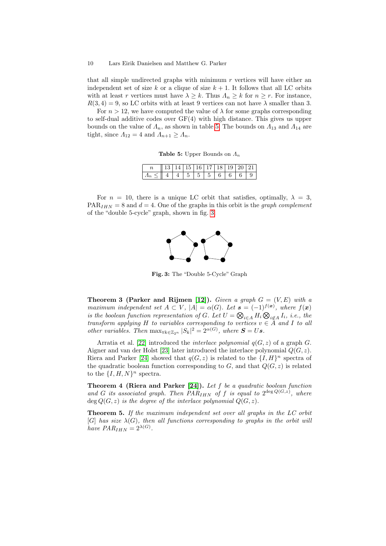that all simple undirected graphs with minimum  $r$  vertices will have either an independent set of size [k](#page-9-0) or a clique of size  $k + 1$ . It follows that all LC orbits with at least r vertices must have  $\lambda \geq k$ . Thus  $\Lambda_n \geq k$  for  $n \geq r$ . For instance,  $R(3, 4) = 9$ , so LC orbits with at least 9 vertices can not have  $\lambda$  smaller than 3.

<span id="page-9-0"></span>For  $n > 12$ , we have computed the value of  $\lambda$  for some graphs corresponding to self-dual additive codes over GF(4) with high distance. This gives us upper bounds on the value of  $\Lambda_n$ , as shown in table 5. The bounds on  $\Lambda_{13}$  and  $\Lambda_{14}$  are tight, since  $\Lambda_{12} = 4$  and  $\Lambda_{n+1} \geq \Lambda_n$ .

**Table 5:** Upper Bounds on  $\Lambda_n$ 

|                                          | $\ 13\ 14\ 15\ 16\ 17\ 18\ 19\ 20\ 21$ |  |  |  |  |
|------------------------------------------|----------------------------------------|--|--|--|--|
| $A_n \leq   4  4  5  5  5  6  6  6  9  $ |                                        |  |  |  |  |

<span id="page-9-1"></span>For  $n = 10$ , there is a unique LC orbit that satisfies, optimally,  $\lambda = 3$ ,  $PAR<sub>IHN</sub> = 8$  and  $d = 4$ . One of the graphs in this orbit is the *graph complement* of the "double 5-cycle" graph, shown in fig. 3.



Fig. 3: The "Double 5-Cycle" Graph

**Theorem 3 (Parker and Rijmen [12]).** Given a graph  $G = (V, E)$  with a maxi[mu](#page-15-14)m independent set  $A \subset V$ ,  $|A| = \alpha(G)$ . Let  $\mathbf{s} = (-1)^{f(\mathbf{x})}$ , where  $f(\mathbf{x})$ [i](#page-16-0)s the boolean function representation of G. Let  $U = \bigotimes_{i \in A} H_i \bigotimes_{i \notin A} I_i$ , i.e., the transform applying H to variables corresponding to vertices  $v \in A$  and I to all other variables. Then  $\max_{\forall k \in \mathbb{Z}_{2^n}} |S_k|^2 = 2^{\alpha(G)}$ , where  $S = Us$ .

<span id="page-9-2"></span>Arratia et [al. \[](#page-16-0)22] introduced the *interlace polynomial*  $q(G, z)$  of a graph G. Aigner and van der Holst [23] later introduced the interlace polynomial  $Q(G, z)$ . Riera and Parker [24] showed that  $q(G, z)$  is related to the  $\{I, H\}^n$  spectra of the quadratic boolean function corresponding to  $G$ , and that  $Q(G, z)$  is related to the  $\{I, H, N\}^n$  spectra.

<span id="page-9-3"></span>Theorem 4 (Riera and Parker [24]). Let f be a quadratic boolean function and G its associated graph. Then  $PAR_{IHN}$  of f is equal to  $2^{\text{deg }Q(G,z)}$ , where deg  $Q(G, z)$  is the degree of the interlace polynomial  $Q(G, z)$ .

Theorem 5. If the maximum independent set over all graphs in the LC orbit [G] has size  $\lambda(G)$ , then all functions corresponding to graphs in the orbit will have  $PAR_{IHN} = 2^{\lambda(G)}$ .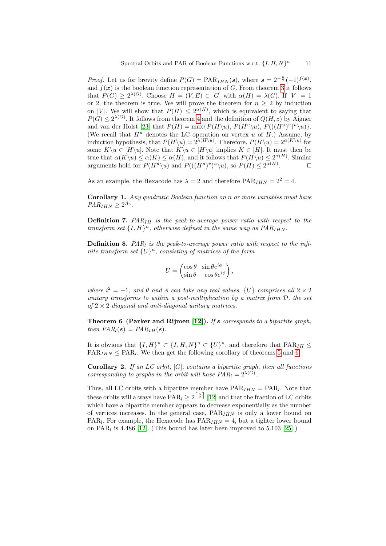*Proof.* Let us for [b](#page-9-2)revity define  $P(G) = \text{PAR}_{IHN}(s)$ , where  $s = 2^{-\frac{n}{2}}(-1)^{f(x)}$ , [a](#page-15-14)nd  $f(x)$  is the boolean function representation of G. From theorem 3 it follows that  $P(G) \geq 2^{\lambda(G)}$ . Choose  $H = (V, E) \in [G]$  with  $\alpha(H) = \lambda(G)$ . If  $|V| = 1$ or 2, the theorem is true. We will prove the theorem for  $n > 2$  by induction on |V|. We will show that  $P(H) \leq 2^{\alpha(H)}$ , which is equivalent to saying that  $P(G) \leq 2^{\lambda(G)}$ . It follows from theorem 4 and the definition of  $Q(H, z)$  by Aigner and van der Holst [23] that  $P(H) = \max\{P(H\setminus u), P(H^u\setminus u), P(((H^u)^v)^u\setminus u)\}.$ (We recall that  $H^u$  denotes the LC operation on vertex u of H.) Assume, by induction hypothesis, that  $P(H\setminus u) = 2^{\lambda(H\setminus u)}$ . Therefore,  $P(H\setminus u) = 2^{\alpha(K\setminus u)}$  for some  $K\setminus u \in [H\setminus u]$ . Note that  $K\setminus u \in [H\setminus u]$  implies  $K \in [H]$ . It must then be true that  $\alpha(K\setminus u) \leq \alpha(K) \leq \alpha(H)$ , and it follows that  $P(H\setminus u) \leq 2^{\alpha(H)}$ . Similar arguments hold for  $P(H^u\backslash u)$  and  $P(((H^u)^v)^u\backslash u)$ , so  $P(H) \leq 2^{\alpha(H)}$  $\Box$ 

As an example, the Hexacode has  $\lambda = 2$  and therefore  $PAR_{IHN} = 2^2 = 4$ .

Corollary 1. Any quadratic Boolean function on n or more variables must have  $PAR_{IHN} \geq 2^{A_n}.$ 

**Definition 7.**  $PAR_{IH}$  is the peak-to-average power ratio with respect to the transform set  $\{I, H\}$ <sup>n</sup>, otherwise defined in the same way as  $PAR_{IHN}$ .

**Definition 8.** PAR<sub>l</sub> is the peak-to-average power ratio with respect to the infinite transform set  $\{U\}^n$ , consisting of matrices of the form

$$
U = \begin{pmatrix} \cos \theta & \sin \theta e^{i\phi} \\ \sin \theta & -\cos \theta e^{i\phi} \end{pmatrix},
$$

<span id="page-10-0"></span>where  $i^2 = -1$ , and  $\theta$  and  $\phi$  can take any real values.  $\{U\}$  comprises all  $2 \times 2$ unitary transforms to within a post-multiplication by a matrix from D, the set of  $2 \times 2$  diagonal and anti-diagonal unitary m[at](#page-9-3)rices[.](#page-10-0)

**Theorem 6 (Parker and Rijmen [12]).** If s corresponds to a bipartite graph, then  $PAR_l(s) = PAR_{lH}(s)$ .

It is obvious that  $\{I, H\}^n \subset \{I, H, N\}^n \subset \{U\}^n$ , and therefore that  $\text{PAR}_{IH} \leq$  $\text{PAR}_{IHN} \leq \text{PAR}_{l}$ . W[e th](#page-15-15)en get the following corollary of theorems 5 and 6.

**Corollary 2.** If an  $LC$  orbit,  $[G]$ , contains a bipartite graph, then all functions corresponding to graphs in the orbit will have  $PAR_l = 2^{\lambda(G)}$ .

Thus, all LC orbits with a bipartite member have  $PAR_{IHN} = PAR_l$ . Note that these orbits will always have  $\text{PAR}_l \geq 2^{\left\lceil \frac{n}{2} \right\rceil}$  [12] and that the fraction of LC orbits which have a bipartite member appears to decrease exponentially as the number of vertices increases. In the general case,  $PAR_{IHN}$  is only a lower bound on  $\text{PAR}_l$ . For example, the Hexacode has  $\text{PAR}_{IHN} = 4$ , but a tighter lower bound on PAR<sub>l</sub> is 4.486 [12]. (This bound has later been improved to 5.103 [25].)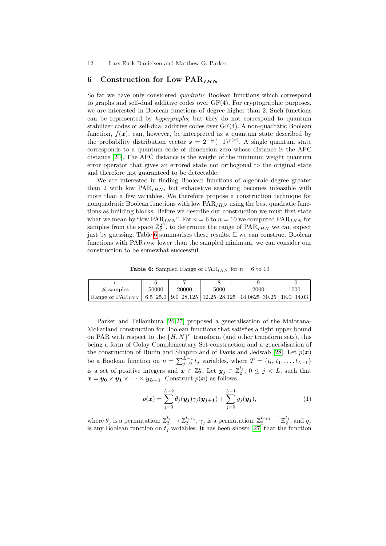# 6 Construction for Low  $\text{PAR}_{IHN}$

So far we have only considered *quadratic* Boolean functions which correspond to graphs and self-dual additive codes over GF(4). For cryptographic purposes, we are interested in Boolean functions of degree higher than 2. Such functions can be represented by hypergraphs, but they do not correspond to quantum stabilizer codes or self-dual additive codes over GF(4). A non-quadratic Boolean function,  $f(x)$ , can, however, be interpreted as a quantum state described by the probability distribution vector  $s = 2^{-\frac{n}{2}}(-1)^{f(x)}$ . A single quantum state corresponds to a quantum code of dimension zero whose distance is the APC distance [20]. The APC distance is the weight of the minimum weight quantum error operator that gives an errored state not orthogonal to the original state and therefore not guaranteed to be detectable.

We are interested in finding Boolean functions of algebraic degree greater than 2 with low  $PAR_{IHN}$ , but exhaustive searching becomes infeasible with m[ore](#page-11-0) than a few variables. We therefore propose a construction technique for nonquadratic Boolean functions with low  $PAR_{IHN}$  using the best quadratic functions as building blocks. Before we describe our construction we must first state what we mean by "low  $\text{PAR}_{IHN}$ ". For  $n = 6$  to  $n = 10$  we computed  $\text{PAR}_{IHN}$  for samples from the space  $\mathbb{Z}_2^{2^n}$ , to determine the range of  $\text{PAR}_{IHN}$  we can expect just by guessing. Table 6 summarises these results. If we can construct Boolean functions with  $\text{PAR}_{IHN}$  lower than the sampled minimum, we can consider our construction to be somewhat successful.

<span id="page-11-0"></span>**Table 6:** Sampled Range of  $PAR_{IHN}$  for  $n = 6$  to 10

| $#$ samples                                                                               | 50000 | 20000 | 5000 | 2000 | 1000 |
|-------------------------------------------------------------------------------------------|-------|-------|------|------|------|
| Range of $PAR_{IHN}$    6.5–25.0   9.0–28.125   12.25–28.125   14.0625–30.25   18.0–34.03 |       |       |      |      |      |

Parker and Tellambura [26,27] proposed a generalisation of the Maiorana-McFarland construction for Boolean functions that satisfies a tight upper bound on PAR with respect to the  $\{H, N\}^n$  transform (and other transform sets), this being a form of Golay Complementary Set construction and a generalisation of the construction of Rudin and Shapiro and of Davis and Jedwab [28]. Let  $p(x)$ be a Boolean function on  $n = \sum_{j=0}^{L-1} t_j$  variables, where  $T = \{t_0, t_1, \ldots, t_{L-1}\}$ is a set of positive integers and  $\boldsymbol{x} \in \mathbb{Z}_2^n$ . Let  $\boldsymbol{y_j} \in \mathbb{Z}_2^{t_j}$ ,  $0 \leq j \leq L$ , such that  $x = y_0 \times y_1 \times \cdots \times y_{L-1}$ . Construct  $p(x)$  as follows.

<span id="page-11-1"></span>
$$
p(\boldsymbol{x}) = \sum_{j=0}^{L-2} \theta_j(\boldsymbol{y_j}) \gamma_j(\boldsymbol{y_{j+1}}) + \sum_{j=0}^{L-1} g_j(\boldsymbol{y_j}),
$$
\n(1)

where  $\theta_j$  is a permutation:  $\mathbb{Z}_2^{t_j} \to \mathbb{Z}_2^{t_{j+1}}$ ,  $\gamma_j$  is a permutation:  $\mathbb{Z}_2^{t_{j+1}} \to \mathbb{Z}_2^{t_j}$ , and  $g_j$ is any Boolean function on  $t_j$  variables. It has been shown [27] that the function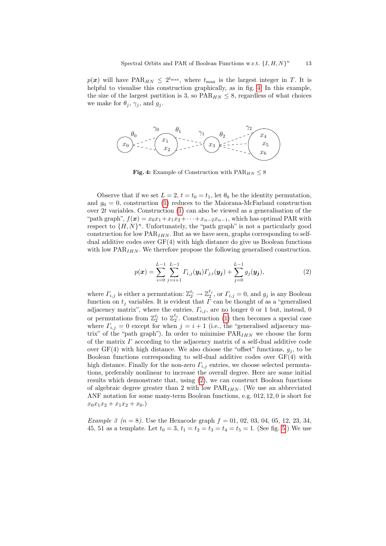$p(x)$  will have PAR<sub>HN</sub>  $\leq 2^{t_{\text{max}}}$ , where  $t_{\text{max}}$  is the largest integer in T. It is helpful to visualise this construction graphically, as in fig. 4. In this example, the size of the largest partition is 3, so  $PAR_{HN} \leq 8$ , regardless of what choices we make for  $\theta_j$ ,  $\gamma_j$ , and  $g_j$ .



Fig. 4: Example of Construction with  $\text{PAR}_{HN} \leq 8$ 

<span id="page-12-0"></span>Observe that if we set  $L = 2$ ,  $t = t_0 = t_1$ , let  $\theta_0$  be the identity permutation, and  $g_0 = 0$ , construction (1) reduces to the Maiorana-McFarland construction over 2t variables. Construction (1) can also be viewed as a generalisation of the "path graph",  $f(x) = x_0x_1 + x_1x_2 + \cdots + x_{n-2}x_{n-1}$ , which has optimal PAR with respect to  $\{H, N\}^n$ . Unfortunately, the "path graph" is not a particularly good construction for low  $\text{PAR}_{IHN}$ . But as we have seen, graphs corresponding to selfdual additive codes over  $GF(4)$  with high distance do give us Boolean functions with low  $\text{PAR}_{IHN}$ . We therefore propose the following generalised construction.

$$
p(\boldsymbol{x}) = \sum_{i=0}^{L-1} \sum_{j=i+1}^{L-1} \Gamma_{i,j}(\boldsymbol{y_i}) \Gamma_{j,i}(\boldsymbol{y_j}) + \sum_{j=0}^{L-1} g_j(\boldsymbol{y_j}),
$$
\n(2)

where  $\Gamma_{i,j}$  is either a permutation:  $\mathbb{Z}_2^{t_i} \to \mathbb{Z}_2^{t_j}$ , or  $\Gamma_{i,j} = 0$ , and  $g_j$  is any Boolean function on  $t_j$  variables. It is evident that  $\Gamma$  can be thought of as a "generalised adjacency matrix", where the entries,  $\Gamma_{i,j}$ , are no longer 0 or 1 but, instead, 0 or permutations from  $\mathbb{Z}_2^{t_i}$  to  $\mathbb{Z}_2^{t_j}$ . Construction (1) then becomes a special case where  $\Gamma_{i,j} = 0$  except for when  $j = i + 1$  (i.e., the "generalised adjacency matrix" of the "path graph"). In order to minimise  $PAR_{IHN}$  we choose the form of the matrix  $\Gamma$  a[cco](#page-12-0)rding to the adjacency matrix of a self-dual additive code over  $GF(4)$  with high distance. We also choose the "offset" functions,  $g_j$ , to be Boolean functions corresponding to self-dual additive codes over GF(4) with high distance. Finally for the non-zero  $\Gamma_{i,j}$  entries, we choose selected permutations, preferably nonlinear to increase the overall degree. Here are some initial results which demonstrate that, using (2), we can construct Boolean functions of algebraic degree greater than 2 with low  $PAR_{IHN}$  $PAR_{IHN}$  $PAR_{IHN}$ . (We use an abbreviated ANF notation for some many-term Boolean functions, e.g. 012, 12, 0 is short for  $x_0x_1x_2 + x_1x_2 + x_0.$ 

*Example 3*  $(n = 8)$ . Use the Hexacode graph  $f = 01, 02, 03, 04, 05, 12, 23, 34$ , 45, 51 as a template. Let  $t_0 = 3$ ,  $t_1 = t_2 = t_3 = t_4 = t_5 = 1$ . (See fig. 5.) We use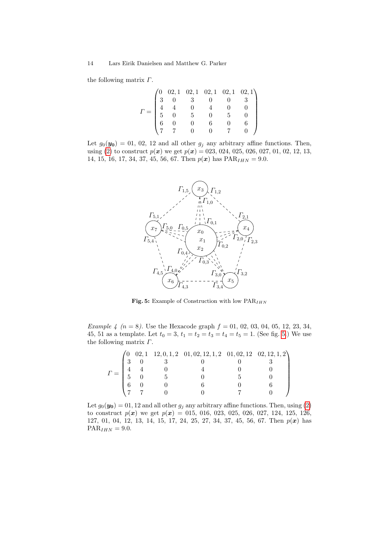the following matrix  $\Gamma$ .

|  |                                                                  |  | $\begin{pmatrix} 0 & 0 & 2 & 1 & 0 & 2 & 1 & 0 & 2 & 1 & 0 & 2 & 1 \\ 3 & 0 & 3 & 0 & 0 & 3 & 3 \end{pmatrix}$ |
|--|------------------------------------------------------------------|--|----------------------------------------------------------------------------------------------------------------|
|  |                                                                  |  |                                                                                                                |
|  | $\begin{array}{cccc} 4 & 4 & 0 & 4 \\ 5 & 0 & 5 & 0 \end{array}$ |  |                                                                                                                |
|  |                                                                  |  |                                                                                                                |
|  |                                                                  |  |                                                                                                                |
|  |                                                                  |  |                                                                                                                |

Let  $g_0(\mathbf{y_0}) = 01, 02, 12$  and all other  $g_j$  any arbitrary affine functions. Then, using (2) to construct  $p(x)$  we get  $p(x) = 0.23, 0.024, 0.025, 0.027, 0.01, 0.02, 1.2, 1.3,$ 14, 15, 16, 17, 34, 37, 45, 56, 67. Then  $p(x)$  has  $\text{PAR}_{IHN} = 9.0$ .



<span id="page-13-0"></span>Fig. 5: Example of Construction with low  $\mathrm{PAR}_{IHN}$ 

Example 4 ( $n = 8$ ). Use the Hexacode graph  $f = 01, 02, 03, 04, 05, 12, 23, 34,$ 45, 51 as a template. Let  $t_0 = 3$ ,  $t_1 = t_2 = t_3 = t_4 = t_5 = 1$ . (See fig. 5.) We use the following matrix  $\Gamma$ .

| $\varGamma =$ |  |  |  |
|---------------|--|--|--|
|               |  |  |  |
|               |  |  |  |
|               |  |  |  |
|               |  |  |  |

Let  $g_0(\mathbf{y_0}) = 01, 12$  and all other  $g_j$  any arbitrary affine functions. Then, using (2) to construct  $p(x)$  we get  $p(x) = 015, 016, 023, 025, 026, 027, 124, 125, 126,$ 127, 01, 04, 12, 13, 14, 15, 17, 24, 25, 27, 34, 37, 45, 56, 67. Then p(x) has  $\text{PAR}_{IHN} = 9.0.$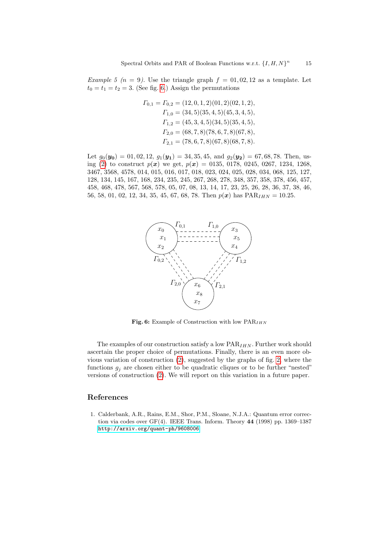Example 5 ( $n = 9$ ). Use the triangle graph  $f = 01, 02, 12$  as a template. Let  $t_0 = t_1 = t_2 = 3$ . (See fig. 6.) Assign the permutations

$$
T_{0,1} = T_{0,2} = (12, 0, 1, 2)(01, 2)(02, 1, 2),
$$
  
\n
$$
T_{1,0} = (34, 5)(35, 4, 5)(45, 3, 4, 5),
$$
  
\n
$$
T_{1,2} = (45, 3, 4, 5)(34, 5)(35, 4, 5),
$$
  
\n
$$
T_{2,0} = (68, 7, 8)(78, 6, 7, 8)(67, 8),
$$
  
\n
$$
T_{2,1} = (78, 6, 7, 8)(67, 8)(68, 7, 8).
$$

Let  $g_0(\mathbf{y_0}) = 01, 02, 12, g_1(\mathbf{y_1}) = 34, 35, 45, \text{ and } g_2(\mathbf{y_2}) = 67, 68, 78. \text{ Then, us-}$ ing (2) to construct  $p(x)$  we get,  $p(x) = 0135, 0178, 0245, 0267, 1234, 1268,$ 3467, 3568, 4578, 014, 015, 016, 017, 018, 023, 024, 025, 028, 034, 068, 125, 127, 128, 134, 145, 167, 168, 234, 235, 245, 267, 268, 278, 348, 357, 358, 378, 456, 457, 458, 468, 478, 567, 568, 578, 05, 07, 08, 13, 14, 17, 23, 25, 26, 28, 36, 37, 38, 46, 56, 58, 01, 02, 12, 34, 35, 45, 67, 68, 78. Then  $p(x)$  has  $\text{PAR}_{IHN} = 10.25$ .



Fig. 6: Example of Constructio[n w](#page-5-0)ith low  $\text{PAR}_{IHN}$ 

The examples of our construction satisfy a low  $PAR_{IHN}$ . Further work should ascertain the proper choice of permutations. Finally, there is an even more obvious variation of construction (2), suggested by the graphs of fig. 2, where the functions  $g_i$  are chosen either to be quadratic cliques or to be further "nested" versions of construction (2). We will report on this variation in a future paper.

# <span id="page-14-0"></span>References

1. Calderbank, A.R., Rains, E.M., Shor, P.M., Sloane, N.J.A.: Quantum error correction via codes over  $GF(4)$ . IEEE Trans. Inform. Theory 44 (1998) pp. 1369–1387 http://arxiv.org/quant-ph/9608006.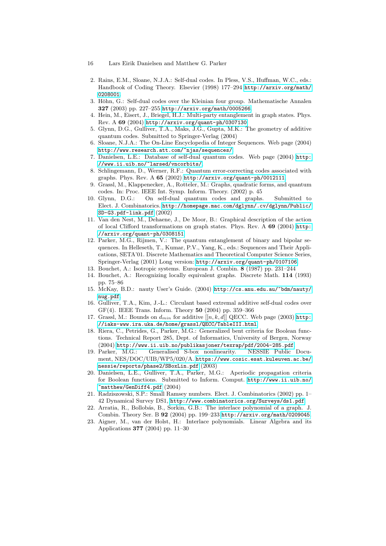- <span id="page-15-7"></span>[2. Rains, E.M., Sloane, N.J.A.: Self-d](http://arxiv.org/quant-ph/0307130)ual codes. In Pless, V.S., Huffman, W.C., eds.: Handbook of Coding Theory. Elsevier (1998) 177-294 http://arxiv.org/math/ 0208001.
- 3. Höhn, G.: Self-dual codes over the Kleinian four group. Mathematische Annalen 327 [\(2003\) pp. 227–255](http://www.research.att.com/~njas/sequences/) http://arxiv.org/math/0005266.
- <span id="page-15-0"></span>4. Hein, M., Eisert, J., Briegel, H.J.: Multi-party entan[glement](http://www.ii.uib.no/~larsed/vncorbits/) in graph states. Phys. [Rev. A](http://www.ii.uib.no/~larsed/vncorbits/) 69 (2004) http://arxiv.org/quant-ph/0307130.
- <span id="page-15-1"></span>5. Glynn, D.G., Gulliver, T.A., Maks, J.G., Gupta, M.K.: The geometry of additive quantum [codes. Submitted to Springer-Verlag \(2](http://arxiv.org/quant-ph/0012111)004)
- <span id="page-15-2"></span>6. Sloane, N.J.A.: The On-Line Encyclopedia of Integer Sequences. Web page (2004) http://www.research.att.com/~njas/sequences/.
- <span id="page-15-3"></span>7. Danielsen, L.E.: Database of self-dual quantum codes. Web page (2004) http: /[/www.ii.uib.no/~larsed/vncorbits/](http://homepage.mac.com/dglynn/.cv/dglynn/Public/SD-G3.pdf-link.pdf).
- <span id="page-15-4"></span>[8.](http://homepage.mac.com/dglynn/.cv/dglynn/Public/SD-G3.pdf-link.pdf) Schlingemann, D., Werner, R.F.: Quantum error-correcting codes associated with graphs. Phys. Rev. A 65 (2002) http://arxiv.org/quant-ph/0012111.
- 9. Grassl, M., Klappenecker, A., Rotteler, M.: Graphs, [quadrat](http://arxiv.org/quant-ph/0308151)ic forms, and quantum [codes. In:](http://arxiv.org/quant-ph/0308151) Proc. IEEE Int. Symp. Inform. Theory. (2002) p. 45
- <span id="page-15-15"></span>10. Glynn, D.G.: On self-dual quantum codes and graphs. Submitted to Elect. J. Combinatorics. http://homepage.mac.com/dglynn/.cv/dglynn/Public/ SD-G3.pdf-link.pdf (2002)
- <span id="page-15-5"></span>11. Van den Nest, [M., Dehaene, J., De Moor, B.: Graphi](http://arxiv.org/quant-ph/0107106)cal description of the action of local Clifford transformations on graph states. Phys. Rev. A 69 (2004) http: //arxiv.org/quant-ph/0308151.
- <span id="page-15-8"></span><span id="page-15-6"></span>12. Parker, M.G., Rijmen, V.: The quantum entanglement of binary and bipolar sequences. In Helleseth[, T., Kumar, P.V., Yang, K., eds.: Sequ](http://cs.anu.edu.au/~bdm/nauty/nug.pdf)ences and Their Applications, SETA'01. Discrete Mathematics and Theoretical Computer Science Series, Springer-Verlag (2001) Long version: http://arxiv.org/quant-ph/0107106.
- 13. Bouchet, A.: Isotropic systems. European J. Combin. 8 (1987) pp. 231–244
- 14. Bouchet, A.: Recognizing locally equivalent graphs[. Discr](http://iaks-www.ira.uka.de/home/grassl/QECC/TableIII.html)ete Math. 114 (1993) [pp. 75–86](http://iaks-www.ira.uka.de/home/grassl/QECC/TableIII.html)
- <span id="page-15-10"></span>15. McKay, B.D.: nauty User's Guide. (2004) http://cs.anu.edu.au/~bdm/nauty/ nug.pdf.
- [16. Gulliver, T.A., Kim, J.-L.: Circulant based extremal](http://www.ii.uib.no/publikasjoner/texrap/pdf/2004-285.pdf) additive self-dual codes over GF(4). IEEE Trans. Inform. Theory 50 (2004) pp. 359–366
- <span id="page-15-11"></span>17. Grassl, M.: Bounds on  $d_{min}$  for additive  $[[n, k, d]]$  QECC. Web page (2003) http: [//iaks-www.ira](https://www.cosic.esat.kuleuven.ac.be/nessie/reports/phase2/SBoxLin.pdf).uka.de/home/grassl/QECC/TableIII.html.
- <span id="page-15-12"></span>18. Riera, C., Petrides, G., Parker, M.G.: Generalized bent criteria for Boolean functions. Technical Report 285, Dep[t. of Informatics, Univers](http://www.ii.uib.no/~matthew/GenDiff4.pdf)ity of Bergen, Norway [\(2](http://www.ii.uib.no/~matthew/GenDiff4.pdf)004) http://www.ii.uib.no/publikasjoner/texrap/pdf/2004-285.pdf.
- <span id="page-15-13"></span>19. Parker, M.G.: Generalised S-box nonlinearity. NESSIE Public Documen[t, NES/DOC/UIB/WP5/020/A.](http://www.combinatorics.org/Surveys/ds1.pdf) https://www.cosic.esat.kuleuven.ac.be/ nessie/reports/phase2/SBoxLin.pdf (2003)
- <span id="page-15-14"></span>20. Danielsen, L.E., Gulliv[er, T.A., Parker, M.G.: Aperiod](http://arxiv.org/math/0209045)ic propagation criteria for Boolean functions. Submitted to Inform. Comput. http://www.ii.uib.no/  $\text{``matter/GenDiff4.pdf}$  (2004)
- 21. Radziszowski, S.P.: Small Ramsey numbers. Elect. J. Combinatorics (2002) pp. 1– 42 Dynamical Survey DS1, http://www.combinatorics.org/Surveys/ds1.pdf.
- 22. Arratia, R., Bollobás, B., Sorkin, G.B.: The interlace polynomial of a graph. J. Combin. Theory Ser. B 92 (2004) pp. 199–233 http://arxiv.org/math/0209045.
- 23. Aigner, M., van der Holst, H.: Interlace polynomials. Linear Algebra and its Applications 377 (2004) pp. 11–30

<span id="page-15-9"></span><sup>16</sup> [Lars Eirik Danielsen and Matth](http://arxiv.org/math/0005266)ew G. Parker